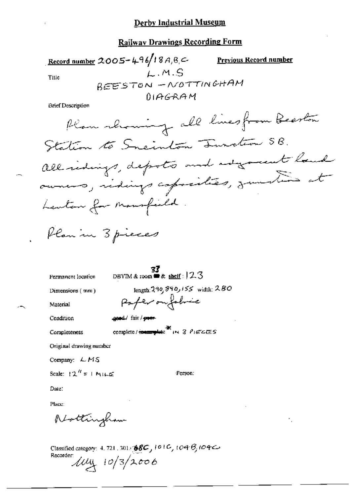## Railway Drawings Recording Form

Record number 2005-496/18A, 8, C Previous Record number  $L.M.S$ Title BEESTON - NOTTINGHAM  $01AGRAM$ 

Brief Description

Permanent location

 $\frac{33}{25}$ <br>DBYIM & room  $\bullet$  & shelf : 123

Dimensions (mm)

Material

Condition

Completeness

```
geed/ fair/ poor-
```
Original drawing number

Company: LMS

Scale:  $12^{\prime\prime}$  = 1 MILE

Person:

Date:

Place:

Nottingham

Classified category: 4, 721, 301+ 68C, 101C, 104B, 104C Recorder  $10/3/2006$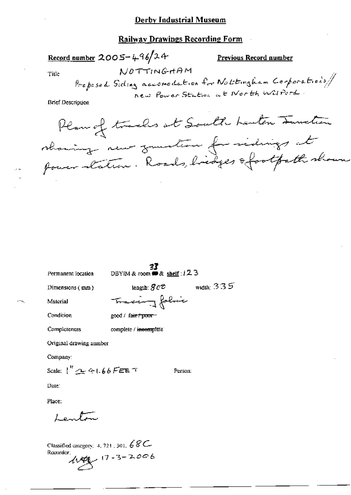## **Railway Drawings Recording Form**

Record number  $2005 - 496/24$ 

Previous Record number

Title

NOTTINGHAM Proposed Siding accomodation for Nottingham Corporations/

**Brief Description** 

Plan of tracks at South Lenton Junction showing new function for sidings at power station. Roads, bridges of footpath shown

Permanent location

**33**<br>DBYIM & room **#** & <u>shelf</u> :  $12.3$ 

length:  $\mathcal{G}\mathcal{C}\mathcal{D}$ 

Dimensions (mm)

width:  $335$ 

Material

Tracing folic good / fa<del>ir / poor -</del>

Condition

Completeness

complete / incomplete

Original drawing number

Company:

Scale:  $1'' \rightarrow 41.66$  FEE T

Person:

Date:

Place:

سيسلموه ا

Classified category: 4, 721, 301,  $68C$ Recorder;  $44.47$   $17 - 3 - 2006$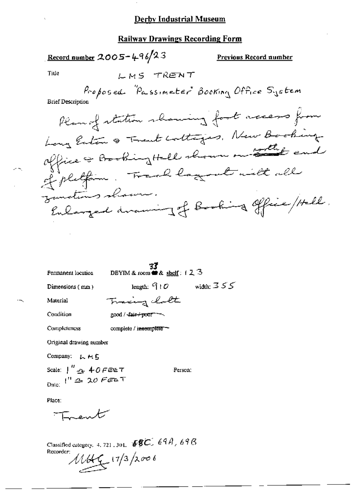#### **Railway Drawings Recording Form**

LMS TRENT

<u>Record number</u>  $2005 - 496/23$ 

Previous Record number

Title

Proposed "Passimeter" Booking Office System

**Brief Description** 

Plan of station showing foot access from Long Enton & Trent colleges, New Booking office of Booking Hell shown on sollit and of pletfin. Track lag at with all instins shown. Enlarged avaning of Booking office / Hell.

**33**<br>DBYIM & room  $\bullet$  & shelf:  $12.3$ 

Permanent location

Dimensions (mm)

width:  $355$ length:  $910$ 

Material

Traing latt

Condition

good / fair+poor ~~

Completeness complete / incomplete -

Original drawing number

Company: LHE

Scale:  $\int_0^H \Delta \cdot \Phi \cdot d\theta$  FEET Date:  $1'' \triangleq 20$  Feet

Person:

Place:

Trent

Classified category, 4, 721, 301,  $\sqrt{8}C$ , 69A, 69B Recorder:  $1144$   $(17/3)2006$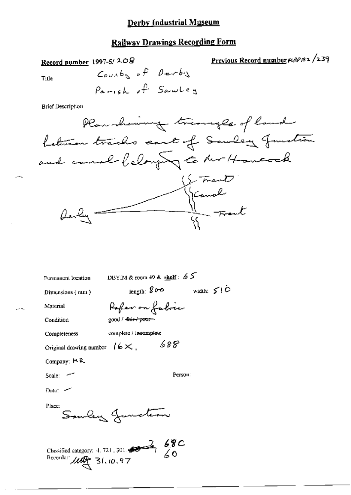# **Railway Drawings Recording Form**

Record number 1997-5/208

Previous Record number PIRP132 /239

Title

ومعامر

 $\mathcal{L}^{(1)}$  with

 $\text{Couabs of }\theta\text{-}$ Parish of Sawley

**Brief Description** 

| Plan showing triangle of land         |
|---------------------------------------|
| Letwin tracks cant of Sanday Junction |
| and comme belonging to the Hancock    |
|                                       |
| Strand<br>Kanal                       |
| darly that the track                  |
|                                       |

| Permanent location                                       | DBYIM & room 49 & shelf: $65$ |                   |
|----------------------------------------------------------|-------------------------------|-------------------|
| Dimensions (num)                                         | $_{\rm length:}$ g o $\circ$  | width: $50^\circ$ |
| Material                                                 | Refer on fabric               |                   |
| Condition                                                | good / fair + poor            |                   |
| Completeness                                             | complete / incomplete         |                   |
| Original drawing number $16 \times$ .                    | 688                           |                   |
| Company: MR                                              |                               |                   |
| Scale: $\sim$                                            | Person:                       |                   |
| Date: $\sim$                                             |                               |                   |
| Place:                                                   | Souley Junction               |                   |
| Recorder: $\mathcal{U} \rightarrow \mathcal{V}$ 31.10.97 |                               |                   |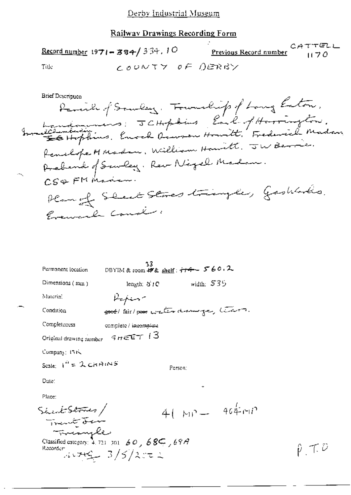|       | $\frac{\text{Record number}}{1971 - 384}$ 334.10 | <b>Previous Record number</b> $1170$ | CATTELL |
|-------|--------------------------------------------------|--------------------------------------|---------|
| Title | LOUNTY OF BERBY                                  |                                      |         |

**Brief Description** Remik of Souley. Foundity of Long Enton. Investigations: JCHopkins Each of Harrington. Prebend of Sawley. Rev Nigel Madam. CS&FMManun. Plan of Steet Stores triangle, Gashfords. Evenical Const.

| Permanent location                                       | 33<br>DBYIM & room 杉& <u>shelf</u> : <del>行今</del> ~ 5°60 <sub>1</sub> 2 |         |            |                          |
|----------------------------------------------------------|--------------------------------------------------------------------------|---------|------------|--------------------------|
| Dimensions (mm)                                          | leng.h. 31C                                                              |         | width: 535 |                          |
| Material                                                 | Kepin-                                                                   |         |            |                          |
| Condition                                                | good fair poor water drawinger, terms.                                   |         |            |                          |
| Completeness                                             | complete / i <del>ncomplate</del>                                        |         |            |                          |
| Original drawing number $\leq \pi \in \mathsf{ET}$ (3)   |                                                                          |         |            |                          |
| Company 131                                              |                                                                          |         |            |                          |
| Scale: $I'' = \lambda$ CHAINS                            |                                                                          | Person: |            |                          |
| Date:                                                    |                                                                          |         |            |                          |
| Place:                                                   |                                                                          |         |            |                          |
| Sheak Stores/<br>Trant Fer                               |                                                                          |         |            | $4(-\mu)^3 = -464 \mu^2$ |
| Glassified category: 4.721 301 60, 685, 69A<br>Recorder: | $1.1749 - 3/5/2$ st 2                                                    |         |            |                          |

 $\hat{p}$  ,  $\tau$ ,  $\hat{\nu}$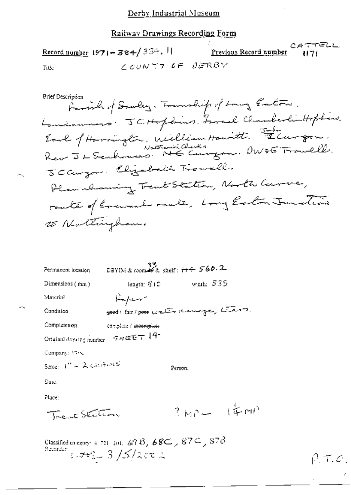CATTELL Record number  $1971 - 384 / 33 + 11$ Previous Record number  $1171$ COUNTY OF DERBY Title

| Permanent location      | DBYIM& room→名 <u>shelf</u> : <del>i+キ</del> <b>560.2</b> |                  |  |
|-------------------------|----------------------------------------------------------|------------------|--|
| Dimensions $(mn)$       | leagth: STO                                              | width: $535$     |  |
| Material                | Kopin                                                    |                  |  |
| Condition               | seed/ fair/poor water downinger, thans.                  |                  |  |
| Completeness            | complete / i <del>ncomplete</del>                        |                  |  |
| Original drawing number | $9HEE+14$                                                |                  |  |
| Company: 1748           |                                                          |                  |  |
| Scale: $1'' = 2$ chimns |                                                          | Person:          |  |
| Date.                   |                                                          |                  |  |
| Phice:                  |                                                          |                  |  |
| Trent Station           |                                                          | $3 \mu P - 14 M$ |  |
|                         |                                                          |                  |  |

 $-$ 

Classified category 4.721, 301, 678, 68C, 87C, 876<br>Recorder  $\frac{1}{2}$ ,  $\frac{1}{2}$ ,  $\frac{1}{2}$ ,  $\frac{1}{2}$ ,  $\frac{1}{2}$ ,  $\frac{1}{2}$ 

 $\rho$ ,  $\tau$ ,  $\sigma$ .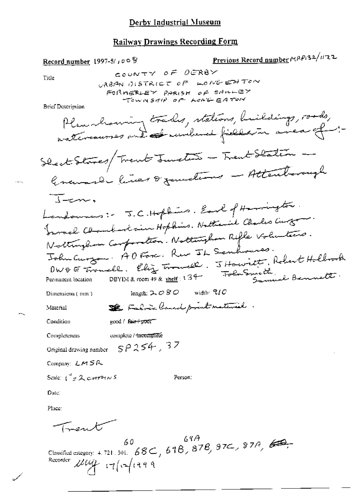#### Railway Drawings Recording Form

Previous Record number MAP132/1122 Record number 1997-5/1008 COUNTY OF OERBY Title URBAN DISTRICT OF LONGENTON FORMERLEY PARISH OF SAMLEY TOWNSHIP OF LONG EATON **Brief Description** Plannhouring trades, stations, huildings, roads, watercourses and at runbered fields in a near of -: Sheet Starts/Trent Junction - Trent Station -Granard lives & functions - Attentionagh  $\overline{1}$ -cn. Landounes: J.C. Hopkins. Earl of Harrington. Fromal Chamberlain Hopkins. Nathaniel Charles Curton Nottinghow Composition. Nottingham Rifle Voluntars. John Curzon: AO Forc: Rue IL Senhouses. OWOF Trouble. Eliz Trouble. JHowitt, Robert Hollrock Folim Smith, Bennett. Permanent location DBYIM & room 49 & shelf : 1 3 4length:  $2.080$  width:  $7/0$ Dimensions (mm) Se Fabric land print material. Material  $good /$  fair  $+$   $p\overline{o}$  or  $-$ Condition complete / incomplete **Completeness**  $SP254, 37$ Original drawing number Company:  $LMSR$ Scale:  $i^{\prime\prime}$   $\neq$   $\lambda$  corrons Person: Date: Place: Trent

Classified entegory: 4.721.301. 68C, 61B, 87B, 97C, 87A, 60, Recorder Letty 17/17/1999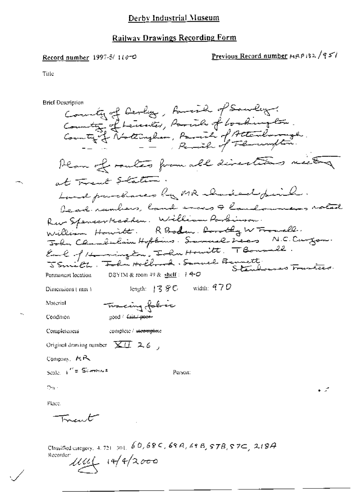## **Railway Drawings Recording Form**

### Record number 1997-5/110-0

# Previous Record number MRP132/951

 $-5$   $0<sup>o</sup>$   $0<sup>o</sup>$   $1$ 

Title

 $\mathbb{L}_\lambda$ 

**Brief Description** 

| County of Lennes, Parish of Lockington.<br>Country of Northingham, Parish of Attendancesh.<br>Hear of routes from all directions needy<br>at Trent Staten.<br>Land paradianes by MR charical final.<br>Rev Spencer Madden. William Parkinson.<br>William Howitt. R Boden. Lorothy W Fromell.<br>John Chamberlain Hoftens. Somerel Dees N.C. Curgon.<br>Eack of the mingling Inhumentation T Bounded.<br>JSmith, Tohn Holland, Samuel Bennett<br>Stenhouses Tranties.<br>DBYIM & reom $49$ & $\frac{\text{shelf}}{2}$ : 14-0<br>Permanent location<br>width: $470$<br>$\lceil \text{length} \rceil \cdot \lceil \cdot \rceil \leq \mathcal{G} \subset \mathbb{C}$<br>Dimensions ( mm )<br>Material<br>Tracing folver<br>good fair poor<br>Condition<br>complete / meomplete<br>Compieteness<br>Original drawing number $\left[\times$ (1) 2.6 $\right]$<br>Company, MR<br>Scale $\int_{0}^{t}$ = Schmas<br>Person:<br>Dar i<br>Place. | виа осмирное                         |  |
|--------------------------------------------------------------------------------------------------------------------------------------------------------------------------------------------------------------------------------------------------------------------------------------------------------------------------------------------------------------------------------------------------------------------------------------------------------------------------------------------------------------------------------------------------------------------------------------------------------------------------------------------------------------------------------------------------------------------------------------------------------------------------------------------------------------------------------------------------------------------------------------------------------------------------------------|--------------------------------------|--|
| bead rumbers, land every & landowners rotal                                                                                                                                                                                                                                                                                                                                                                                                                                                                                                                                                                                                                                                                                                                                                                                                                                                                                          | County of Devlay, favoral of Sawley. |  |
|                                                                                                                                                                                                                                                                                                                                                                                                                                                                                                                                                                                                                                                                                                                                                                                                                                                                                                                                      |                                      |  |
|                                                                                                                                                                                                                                                                                                                                                                                                                                                                                                                                                                                                                                                                                                                                                                                                                                                                                                                                      |                                      |  |
|                                                                                                                                                                                                                                                                                                                                                                                                                                                                                                                                                                                                                                                                                                                                                                                                                                                                                                                                      |                                      |  |
|                                                                                                                                                                                                                                                                                                                                                                                                                                                                                                                                                                                                                                                                                                                                                                                                                                                                                                                                      |                                      |  |
|                                                                                                                                                                                                                                                                                                                                                                                                                                                                                                                                                                                                                                                                                                                                                                                                                                                                                                                                      |                                      |  |
|                                                                                                                                                                                                                                                                                                                                                                                                                                                                                                                                                                                                                                                                                                                                                                                                                                                                                                                                      |                                      |  |
|                                                                                                                                                                                                                                                                                                                                                                                                                                                                                                                                                                                                                                                                                                                                                                                                                                                                                                                                      |                                      |  |
|                                                                                                                                                                                                                                                                                                                                                                                                                                                                                                                                                                                                                                                                                                                                                                                                                                                                                                                                      |                                      |  |
|                                                                                                                                                                                                                                                                                                                                                                                                                                                                                                                                                                                                                                                                                                                                                                                                                                                                                                                                      |                                      |  |
|                                                                                                                                                                                                                                                                                                                                                                                                                                                                                                                                                                                                                                                                                                                                                                                                                                                                                                                                      |                                      |  |
|                                                                                                                                                                                                                                                                                                                                                                                                                                                                                                                                                                                                                                                                                                                                                                                                                                                                                                                                      |                                      |  |
|                                                                                                                                                                                                                                                                                                                                                                                                                                                                                                                                                                                                                                                                                                                                                                                                                                                                                                                                      |                                      |  |
|                                                                                                                                                                                                                                                                                                                                                                                                                                                                                                                                                                                                                                                                                                                                                                                                                                                                                                                                      |                                      |  |
|                                                                                                                                                                                                                                                                                                                                                                                                                                                                                                                                                                                                                                                                                                                                                                                                                                                                                                                                      |                                      |  |
|                                                                                                                                                                                                                                                                                                                                                                                                                                                                                                                                                                                                                                                                                                                                                                                                                                                                                                                                      |                                      |  |
|                                                                                                                                                                                                                                                                                                                                                                                                                                                                                                                                                                                                                                                                                                                                                                                                                                                                                                                                      |                                      |  |
|                                                                                                                                                                                                                                                                                                                                                                                                                                                                                                                                                                                                                                                                                                                                                                                                                                                                                                                                      |                                      |  |
|                                                                                                                                                                                                                                                                                                                                                                                                                                                                                                                                                                                                                                                                                                                                                                                                                                                                                                                                      |                                      |  |
|                                                                                                                                                                                                                                                                                                                                                                                                                                                                                                                                                                                                                                                                                                                                                                                                                                                                                                                                      |                                      |  |
|                                                                                                                                                                                                                                                                                                                                                                                                                                                                                                                                                                                                                                                                                                                                                                                                                                                                                                                                      |                                      |  |
|                                                                                                                                                                                                                                                                                                                                                                                                                                                                                                                                                                                                                                                                                                                                                                                                                                                                                                                                      |                                      |  |
|                                                                                                                                                                                                                                                                                                                                                                                                                                                                                                                                                                                                                                                                                                                                                                                                                                                                                                                                      |                                      |  |
|                                                                                                                                                                                                                                                                                                                                                                                                                                                                                                                                                                                                                                                                                                                                                                                                                                                                                                                                      | سيلمد مستهته                         |  |

Classified category, 4, 721 301,  $60, 68$  C,  $68$  A,  $69$  B,  $57B$ ,  $57C$ ,  $219A$ 1114 14/2000 Recorder: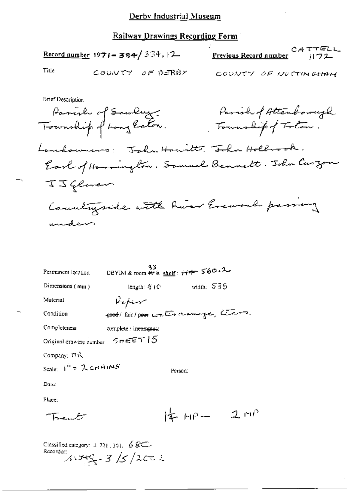|                                                                                                                                                                                                   | <u> Railway Drawings Recording Form (</u> |              |                                              |                 |
|---------------------------------------------------------------------------------------------------------------------------------------------------------------------------------------------------|-------------------------------------------|--------------|----------------------------------------------|-----------------|
| <b>Record number 1971 - 384/334, 12.</b>                                                                                                                                                          |                                           |              | <u>Previous Record number</u>                | CATTELL<br>1172 |
| Title                                                                                                                                                                                             | COUNTY OF DERBY                           |              | COUNTY OF NOTTINGHAM                         |                 |
| <b>Brief Description</b><br>Parish of Sawley.<br>Township of Long Eston.<br>Landowners: Jahn Howitt, John Holbrook.<br>Earl of Harrington. Somuel Bennett. John Curzon<br>IJ Glover<br>بمستطيبتين | Countryside with him Eveward passing      |              | Parish of Attenborough<br>Fournalipof Foton. |                 |
| Permanent location                                                                                                                                                                                | DBYIM & room #8 shelf: $H^{\#}$ 560.2     |              |                                              |                 |
| Dimensions (mm)                                                                                                                                                                                   | length: 5 (C)                             | width: $535$ |                                              |                 |
| Material                                                                                                                                                                                          | Vefer                                     |              |                                              |                 |
| Condition                                                                                                                                                                                         | good air poor water draminger, team.      |              |                                              |                 |
| Completeness                                                                                                                                                                                      | complete / incomplete                     |              |                                              |                 |
| Original drawing number $S$ or $\in$ $ET$ $15$                                                                                                                                                    |                                           |              |                                              |                 |
| Company: 17R                                                                                                                                                                                      |                                           |              |                                              |                 |
| Scale: $1^{n}$ = 2 crimings                                                                                                                                                                       |                                           | Person:      |                                              |                 |
| Date:                                                                                                                                                                                             |                                           |              |                                              |                 |
| Place:                                                                                                                                                                                            |                                           |              |                                              |                 |
|                                                                                                                                                                                                   |                                           | $4 - 919$    | 2.00                                         |                 |

Trent

Classified category:  $4.721.301.68$ Recorder:  $41769 - 3 / 5 / 2002$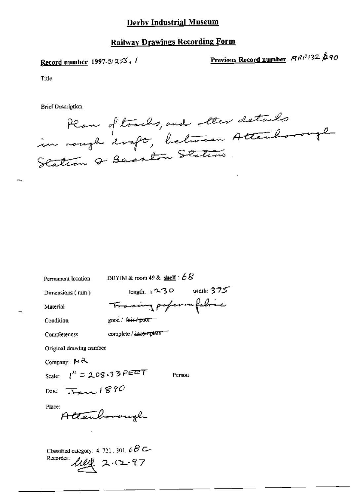### **Railway Drawings Recording Form**

#### Record number 1997-5/255,  $\ell$

Previous Record number ARP132 290

Title

**Brief Description** 

Plan of tracks, and other details<br>in rough draft, between Attenborough Station of Beaston Station.

Permanent location DBYIM & room 49 & shelf:  $68$ 

Dimensions (mm)

length:  $(230 \text{ width} 375)$ Tracing poper on fabric

Material Condition

Completeness

good / fair / poor

complete / incomplete

Original drawing number

Company:  $M \rightarrow$ 

Scale:  $l'' = 208.33$  FEET

Person:

Date:  $\frac{1}{\Delta n}$  1890

Place:

Attenhonough

Classified category: 4, 721, 301,  $\epsilon B$  C-Recorder:  $\text{lll} \times 2.42.97$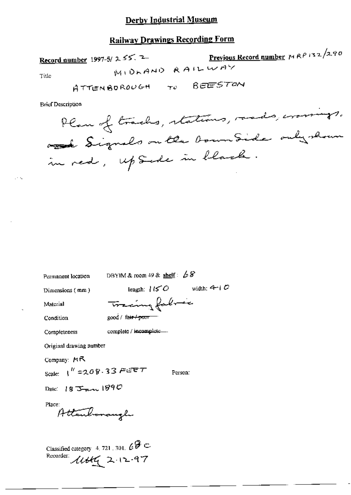#### **Railway Drawings Recording Form**

in red, upside in black.

Previous Record number  $MRP/32/2.90$ Record number 1997-5/ 2 55. 2 MIDLAND RAILWAY Title ATTENBOROUGH TO BEESTON **Brief Description** Plan of tracks, stations, roads, crossings. and Signals on the boundarie only shown

DBYIM & room 49 & shelf:  $68$ Permanent location length:  $150$  width: 4-10 Dimensions (mm) Tracing falmic Material good / fair / poor Condition complete / incomplete.... Completeness Original drawing number Company: MR Scale:  $1^{k}$  = 208.33 FEET Person: Date:  $183 \text{ mm}$  1890 Place: Attenhonough Classified category 4, 721, 301,  $\mathscr{C} \mathscr{F} \subset$ Recorder:  $11466$  2.12.97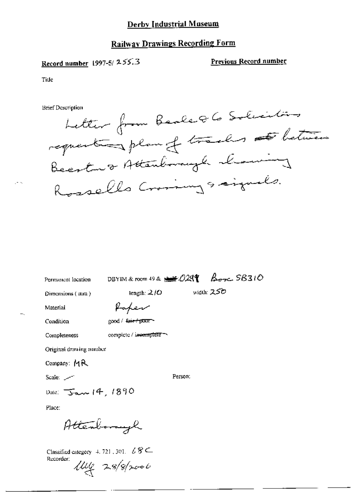#### Railway Drawings Recording Form

## Record number  $1997-51$  255.3 Previous Record number

Title

Brief Description



Permanent location DBYIM & room 49 &  $M/24$   $A$ 

Dimensions ( mm)  $\qquad \qquad \text{length: } 2/O \qquad \text{width: } 250$ 

Material professor

Condition  $\qquad \qquad \text{good} \left/ \frac{4m+1}{12001} \right)$ 

Original drawing number

Company: MR

sm= /- Person.

 $\Delta$ Date:  $\sqrt{5.0}$  14, 1890

Place:

Attenborough

Completeness complete / incomplete

Classified category 4, 721, 301.  $\angle$  8  $\subseteq$ Recorder:  $\mu_{4}$  28/8/2006

 $\sim$   $\sim$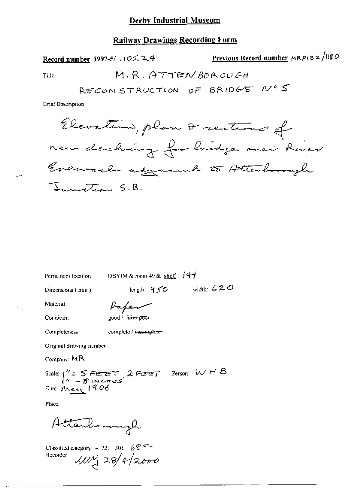### **Railway Drawings Recording Form**

Record number 1997-5/ 1105.24

Previous Record number MRPI32/1180

Title

**Brief Description** 

Elevation, plan & rections of new deching for bridge aven River Evenial against to Attendmargh Innotion S.B.

Permanent lecation

DBYIM & room 49 & shelf:  $\left[4\right]$ 

Dimensions (mm)

length:  $950$  width: 620

Material

Paper good / fair+poor

Condition

Completeness

complete / incomplete-

Original drawing number

Company:  $MR$ 

Scale:  $\int_{\alpha}^{\alpha} 5$  FIE ET, 2 FIEET Person: W H B<br> $\int_{\alpha}^{\alpha} 5$  Pinceres<br>Date May 1906

Place:

Attenhonough

Classified category: 4, 721, 301,  $68 \leftarrow$ Recorder:  $\mu v$  28/4/2000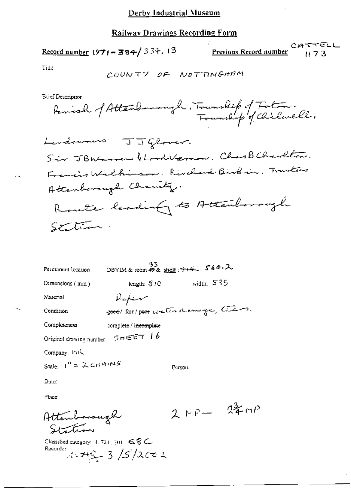Ż.

$$
\frac{13}{8} = 364 / 354.13
$$

Previous Record number

TTELL<br>1173

Title

 $\ddotsc$ 

 $\sim$ 

**Brief Description** 

| Permanent location                        | - 33<br>DBYIM&room 好& <u>shelf</u> : <del>714</del> , 560, 2 |         |            |
|-------------------------------------------|--------------------------------------------------------------|---------|------------|
| Dimensions (min)                          | length: $S1C$                                                |         | width: 535 |
| Material                                  | Kaper                                                        |         |            |
| Condition                                 | sood/ fait/ poor water downings, tensors.                    |         |            |
| Completeness                              | complete / i <del>ncomplete</del>                            |         |            |
| Original drawing number $5 \pi \in F$ / 6 |                                                              |         |            |
| Company: FIR                              |                                                              |         |            |
| Scale: $I^n = 2$ cirrings                 |                                                              | Person. |            |
| Date:                                     |                                                              |         |            |

Place:

Attenborough Station

 $2MP - 24MP$ 

Classified category: 4, 721, 301 6.8C. Recorder  $1749 - 3/5/2002$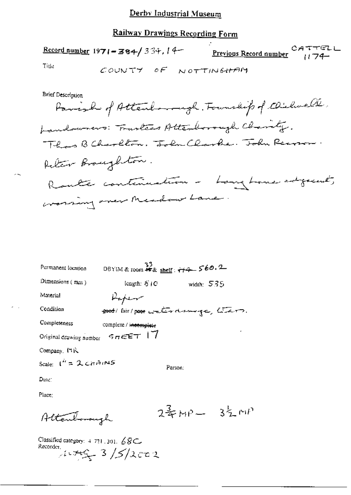# Railway Drawings Recording Form

|       | <u>Record number</u> 1971 = 384/334, 14 | <b>Previous Record number</b> 174- | CATTELL |
|-------|-----------------------------------------|------------------------------------|---------|
| Title |                                         | COUNTY OF NOTTINGHAM               |         |

**Brief Description** 

 $\sim$ 

| Permanent location      | DBYIM & room ## & shelf: ++4 560.2 |                                            |
|-------------------------|------------------------------------|--------------------------------------------|
| Dimensions (mm)         | length: S   C                      | width: $535$                               |
| Material                | Kapen                              |                                            |
| Condition               |                                    | soot / fair / poor water drawings, liters. |
| Completeness            | complete / i <del>ncomplete</del>  |                                            |
| Original drawing number | 5555                               |                                            |
| Company, MR             |                                    |                                            |

Scale:  $I^h = 2$  cardings

Person:

Date:

Place:

Altenbourgh

 $2\frac{2}{3}MP - 3\frac{1}{2}MP$ 

Classified category: 4 721, 301, 68C<br>Recorder,<br> $4.47\frac{C}{3}$  / 5/2 cm 2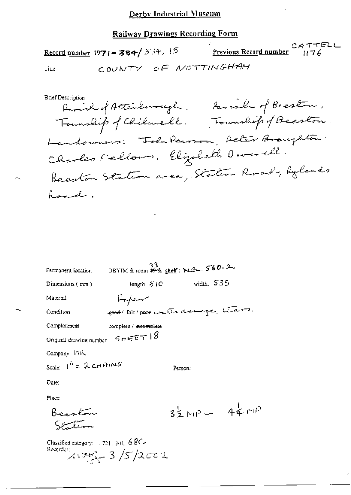|       | Record number 1971 - 384/334, 15 | CATTCDL<br>Previous Record number 1176 |
|-------|----------------------------------|----------------------------------------|
| Title |                                  | COUNTY OF NOTTINGHAM                   |

**Brief Description** Remire of Attendanciagle. Parish of Beeston. Township of Chilmell. Township of Beeslow. Landowners: Tobe Pearson, Peter Broughton. Clarles Fellows, Elizabeth Deverill. Beenton Station area, Station Road, Rylands Roquet,

| Permanent location                      | 33<br>DBYIM & room # & shelf: N& 560.2 |                         |  |
|-----------------------------------------|----------------------------------------|-------------------------|--|
| Dimensions $(mn)$                       | length: $51C$                          | width; 535              |  |
| Material                                | سمحسنها                                |                         |  |
| Condition                               | good fair poor wells down ge, thans.   |                         |  |
| Completeness                            | complete / incomplete                  |                         |  |
| Original drawing number                 | $sn$ EET 18                            |                         |  |
| Company: ITR                            |                                        |                         |  |
| Scale: $1'' = 2 \text{cm} \text{m/s}$   |                                        | Person:                 |  |
| Date∶                                   |                                        |                         |  |
| Place:                                  |                                        |                         |  |
| Regular                                 |                                        | $3\frac{1}{2}MP - 44MP$ |  |
| Classified category: $4, 721, 301, 68C$ |                                        |                         |  |

Recorder:  $4.745 - 3/5/2022$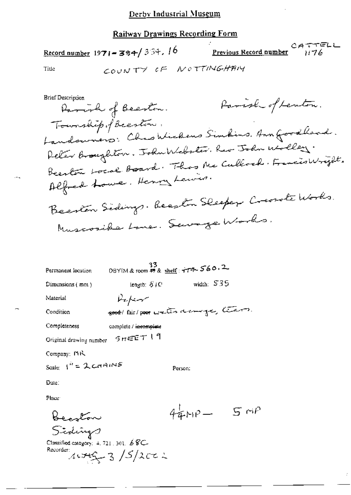CATTELL Previous Record number Record number 1971-384/334, 16 COUNTY OF NOTTINGHAMY Title **Brief Description** Parish of Lenton. Parish of Beeston.

Township of Beeston. Landouvers: Chao Wickens Simbins. Ann Goodhead. Peter Broughton, John Webster, Rev John Wolley. Beenlow Local Board. Thas Me Cullock. Francis Wright. Alfred Lowe, Henry Lewiss. Beenton Sedings. Beeston Sleeper Crearate Works. Muscosibe Lone. Sewage Works.

0BYIM & room #8 shelf:  $+74.560.2$ Permanent location width:  $535$ length: S | C Dimensions (mm) Material Refer soot fair poor water damige, than. Condition Completeness complete / incomplete Original drawing number 5rEET 19 Company: PHK Scale:  $\int_0^h z \mathcal{L} \cosh \theta$ Person: Date: Place:  $440P - 50P$ Beaston

Sidings Classified category:  $4, 721, 301, 68C$ Recorder:  $11762 - 3$  /  $5/2022$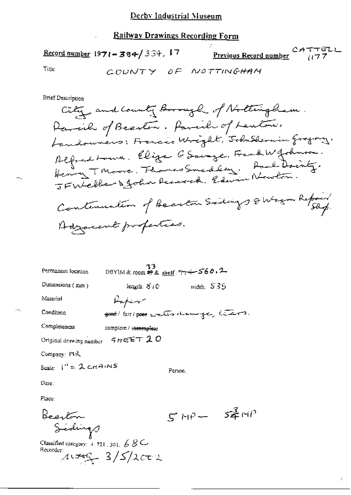**Previous Record number** CATTELL Record number  $1971 - 384 / 334$ , 17 Title COUNTY OF NOTTINGHAM

**Brief Description** 

| Permanent location                                                                     | 33<br>DBYIM & room $\mathcal{H}$ & shelf: $\gamma \rightarrow$ 560.2 |                 |  |
|----------------------------------------------------------------------------------------|----------------------------------------------------------------------|-----------------|--|
| Dimensions (mm)                                                                        | length: $\mathcal{S}$ / C                                            | width: $535$    |  |
| Material                                                                               | Kaping                                                               |                 |  |
| Condition                                                                              | good/fair/poor water damage, teams.                                  |                 |  |
| Completeness                                                                           | complete / i <del>ncomplet</del> e                                   |                 |  |
| Original drawing number $\mathcal{L} \in \mathbb{R}$ $\mathcal{I} \subset \mathcal{I}$ |                                                                      |                 |  |
| Company: File                                                                          |                                                                      |                 |  |
| Scale: $I'' = 2$ cripings                                                              |                                                                      | Person.         |  |
| Date:                                                                                  |                                                                      |                 |  |
| Place:                                                                                 |                                                                      |                 |  |
| بهتم وه                                                                                |                                                                      | $5$ MP $ 54$ MP |  |

Bearton<br>Sidings

Classified category: 4, 721, 301,  $68C$ Recorder  $\mu \neq 3/5/2c\tau$ 

 $\sim$   $\sim$  .

÷.,

Ý.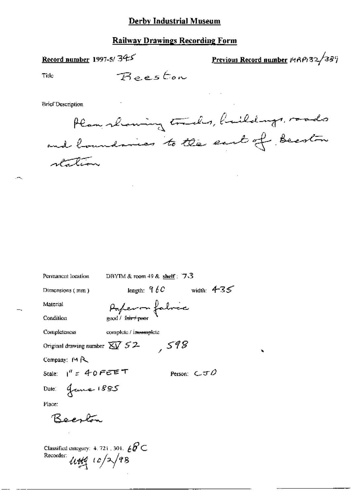### **Railway Drawings Recording Form**

# Record number 1997-5/345

Previous Record number 14RP132/389

Title

**Brief Description** 

Plan showing trades, huildings, roads and boundaries to the east of Beeston

| Permanent location                                                               | DBYTM & room 49 & shelf : $7.3$ |                   |
|----------------------------------------------------------------------------------|---------------------------------|-------------------|
| Dimensions $(mn)$                                                                | length: $960$                   | width: $4-35$     |
| Material                                                                         | Paperon fabrée                  |                   |
| Condition                                                                        |                                 |                   |
| Completeness                                                                     | complete / inessupede           |                   |
| Original drawing number $\overline{\text{XV}}$ 52                                | 598                             |                   |
| Company: 19 R.                                                                   |                                 |                   |
| Scale: $1''$ = 40 FEET                                                           |                                 | Person: $C$ J $O$ |
| Date: granne 1885                                                                |                                 |                   |
| Place:                                                                           |                                 |                   |
| Reaga                                                                            |                                 |                   |
|                                                                                  |                                 |                   |
| Classified category: 4, 721, 301, $\angle B \subset$<br>Recorder:<br>444/10/2/98 |                                 |                   |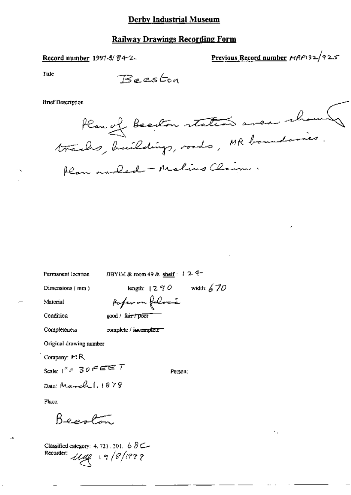### **Railway Drawings Recording Form**

### Record number 1997-5/84-2-

Previous Record number MRP132/925

٢.,

Title

**Brief Description** 

DBYIM & room 49 & shelf: 124-Permanent location length:  $1290$  width:  $670$ Dimensions (mm) Paper on foloci Material Condition good / fair / poor complete / incomplete Completeness Original drawing number Company: MR Scale:  $t'' = 30$   $\in$   $ET$ Person; Date: March 1, 1878 Place: Beeston Classified category: 4, 721, 301, 6  $8 \leftarrow$ 

Recorder: 1119 19/8/1999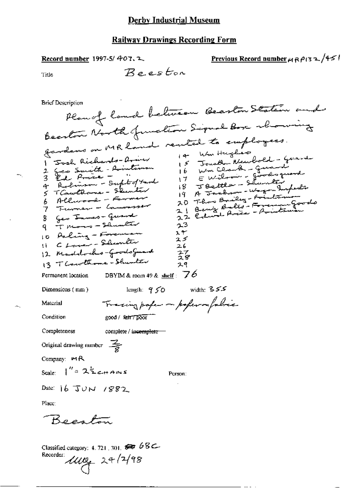### Record number 1997-5/407.2

Previous Record number  $\mu$  RP(32/45/

Title

 $\leftarrow$ 

Brief Description

 $-$ 

Classified category: 4, 721, 301,  $\overline{\text{sec}}$  68 $\text{C}$  $100 - 24/248$ Recorder: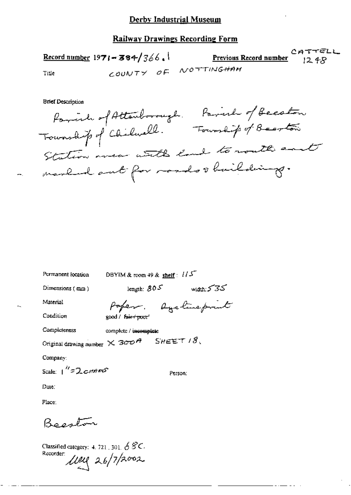#### **Railway Drawings Recording Form**

|       | Record number 1971 - 384/366. | <b>Previous Record number</b> 12.48 | $C$ ATTELL |
|-------|-------------------------------|-------------------------------------|------------|
| Title |                               | COUNTY OF NOTTINGHAM                |            |

**Brief Description** 

Parish of Attenhorough. Parish of Becation Township of Chilevall. Foundip of Bearton Station were with land to routh east marked ant for roads thaildings.

DBYIM & room 49 & shelf:  $1/5$ Permanent location

Dimensions (mm)

length:  $805$  width:  $535$ 

Material

Condition

Poper. Dycline/print good / fair+ poor

Compicteness complete / incomplete

Original drawing number  $\times$  300  $^{\prime\prime}$ 

Company:

Scale:  $1''$ =2cmms

Person:

SHEET  $18$ .

Date:

Place:

Becaton

Classified category: 4, 721, 301,  $68C$ Recorder:  $\mu$ ey 26/7/2002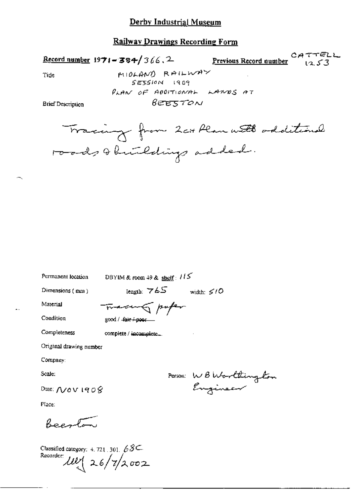#### **Railway Drawings Recording Form**

CATTELL Record number  $1971 - 384 / 366$ , 2 Previous Record number  $1253$ MIOLAND RAILWAY Tide SESSION 1909 PLAN OF ADDITIONAL LANDS AT  $BEE570N$ **Brief Description** 

Permanent location

DBYIM & room 49 & shelf:  $115$ 

Dimensions (mm)

 $\begin{tabular}{ll} \textbf{length:} & $\forall \mathit{6S}$ & \textbf{width:} $\mathcal{S/O}$ \end{tabular}$ 

Material Condition

Completeness

Tracer of poper good / -fair /-poor

complete / incomplete...

Original drawing number

Company:

Scale:

Date:  $\Lambda$ /0 V 190  $\%$ 

Place:

Beenton

Classified category: 4, 721, 301,  $68C$ Recorder  $10^{9}$  26/7/2002

Person: WBWorlthington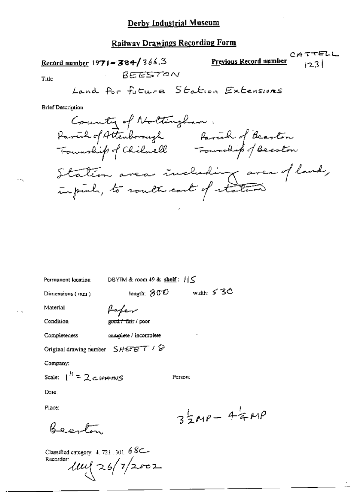#### **Railway Drawings Recording Form**

CATTELL Previous Record number Record number  $1971 - 384 / 366.3$  $123$ REESTON Title Land for future Station Extensions

**Brief Description** 

County of Noltingham. Parish of Attenborough Revise of Beeston<br>Township of Chilaell Township of Beeston Station area including area of land,<br>infinit, to route cout of reation

Permanent location

DBYIM & room 49 & shelf:  $||\le$ 

Person:

 $length: 800$ 

Dimensions (mm)

fafer

Condition

Material

good:/=fair/poor

Completeness complete / incomplete

Original drawing number  $SHEET \neq \mathcal{D}$ 

Company:

Scale:  $1^{R}$  = 2 cHAMS

Date:

Place:

Beech

Classified category: 4, 721, 301, 6 8C Recorder:  $100(26/7)2002$ 

 $35MP - 44MP$ 

width:  $530$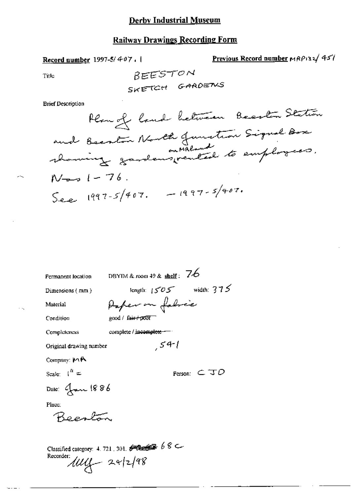# **Railway Drawings Recording Form**

Record number 1997-5/407.

Previous Record number MRP132/451

Title

BEESTON SKETCH GARDENS

**Brief Description** 

| Permanent location      | DBYIM & room 49 & $\frac{\text{shell}}{3}$ : 76                |
|-------------------------|----------------------------------------------------------------|
| Dimensions ( mm )       | length: $1505$ width: $375$                                    |
| Material                | Paper on fabric                                                |
| Condition               | good / fair+poor                                               |
| Completeness            | complete / incomplete                                          |
| Original drawing number | 541                                                            |
| Company: MR             |                                                                |
| Scale: $\int_0^R$ =     | Person: $\subset$ $\top$ $\mathcal{D}$                         |
| Dale: Jan 1886          |                                                                |
| Place:                  |                                                                |
| Reports                 |                                                                |
|                         | Classified category: 4, 721, 301, $\bigcirc$ Classified $68$ C |

Recorder:

 $100 - 29298$ 

 $\sim$   $\sim$ 

у.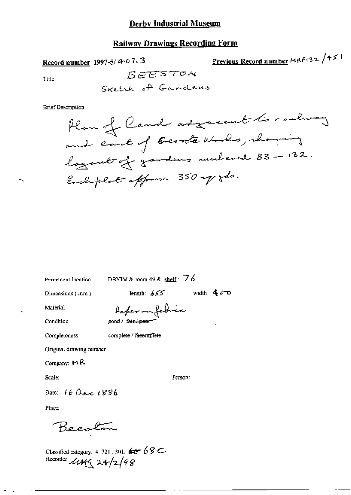### **Railway Drawings Recording Form**

Record number 1997-5/4-07.3

Previous Record number MRP132 /45!

Title

REESTOM

**Brief Description** 

Permanent location

DBYIM & room 49 & shelf:  $76$ 

Dimensions (mm)

length:  $655$  width:  $400$ 

Material

Raferan fabric good / fair / poor

Condition

Completeness

complete / meemplete

Original drawing number

Company: MR

Scale:

Person:

Date: 16 Dec 1886

Place:

Becolon

Classified category. 4.721.301.  $65 - 68$  C.<br>Recorder:  $\mu$ <sub>H</sub><sub>C</sub> 24-/2/98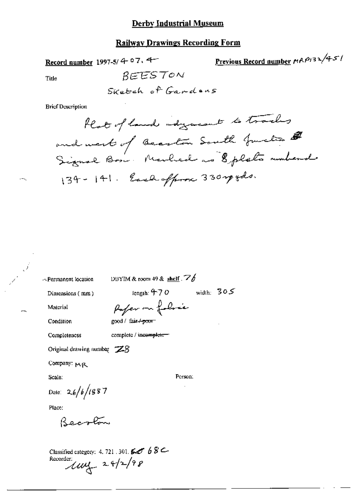## **Railway Drawings Recording Form**

Record number 1997-5/4-07, 4-

Previous Record number MRP132/451

Title

 $--$ 

 $\mathcal{I}$ 

Sketch of Gardons

BEESTON

**Brief Description** 

-- Permanent location

DBYIM & room 49 & shelf.  $\mathbb{Z}/\mathbb{Z}$ 

Pager on folice

Dimensions (mm)

length:  $470$  width:  $305$ 

Person:

Condition

Material

good / fair / poor

Completencss

complete / incomplete-

Original drawing number  $Z8$ 

Company: MR

Scale:

Date:  $2.6 / b / 1987$ <br>Place:

Becolon

Classified category: 4, 721, 301,  $\mathcal{GJ}$  6 8  $\mathcal{L}$  $k$   $\frac{1}{4}$   $\frac{1}{4}$   $\frac{1}{2}$   $\frac{1}{2}$   $\frac{1}{2}$   $\frac{1}{2}$   $\frac{1}{2}$   $\frac{1}{2}$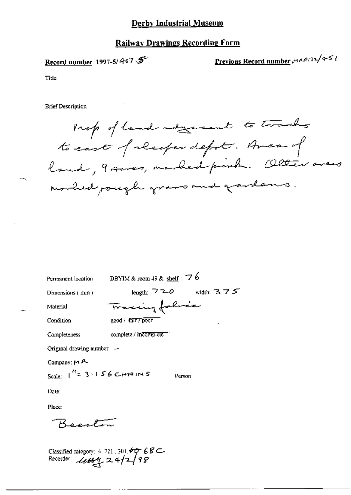### **Railway Drawings Recording Form**

### Record number 1997-5/ $407.5$

Previous Record number  $\mu \wedge \rho/32/451$ 

Title

**Brief Description** 

Map of land adjourned to track to east of receiper depot. Area of land, 9 seves, marked peint. Olter areas morlied pough grass and gardens.

| Permanent location             | DBYIM & room 49 & shelf: $76$ |
|--------------------------------|-------------------------------|
| Dimensions (mm)                | width: $375$<br>length: $720$ |
| Material                       | Tracing fabric                |
| Condition                      | good / fair / poor<br>٠       |
| Completeness                   | complete / incomplete         |
| Original drawing number $\sim$ |                               |
| Company: 14 P                  |                               |

Scale:  $1^{H}$ = 3.156 CHTAINS Person:

Date:

Place:

Beenton

Classified category: 4, 721, 301, 60 68C-<br>Recorder:  $\mathcal{U}\mathcal{U}\mathcal{E}_+^{\bullet}$  2, 4/2/98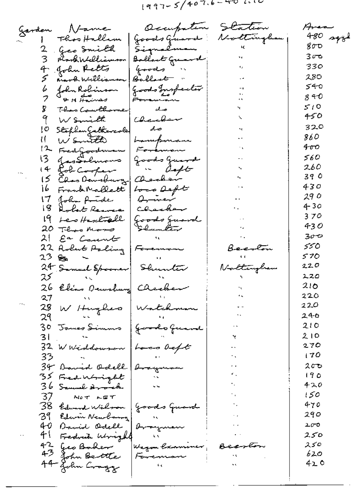$(997 - 5/407.6 - 4011)$ 

Occupation Station Garden Name Ares Goods Great 480 sqyl Nottingham Thos Hallam Signalman 800 Geo Smith 2 30ాం probabilelliamson | Bollart Grand 4 John Retts 330 Goods " 280 Ballant Anord Williamson 540 fohn Robinson<br>& H Haines Goods Inspector<br>Foreman b 8 F O 7 510 Theo Courthomed 8. صله 450 9 W Smith Charbon 320 Stephen Jathercole do ĮΟ Ñ 860 ŧŧ. Wsmt<del>el</del> Lampman ተመ 12 Fred Goodman Foreman 560 JasSolmons 13 Goods Guerk in deft for cooper 260  $(4)$ 39 0 15 Chas Dansburg سنحكمعصك 430 Frank Mallett 16 Loss Deft 29 0 John Antde Quiner ۱7. 430 Charber Robert Remar l 8 Goods Guard 370 19 Les Haschtall 430 Shunkir  $20$  There Moses 300  $21 -$ Ea Count 550 22 Robert Paling Beento Foremon 570 2ි ‱ 24 Samuel Spaaner Shunter 220 Nottingham 220 25 210 26 Elias Dewsbury Checker 220 ٠, 27 Watchman 220 28 W Hughes 246 29 30 James Simms<br>-210 Joseph Guerral 210 31 32 W Widdowson 270 Loco defit 170 33 Arayu  $200$ 34 David Odell 35 Fred Wright 190 420 36 Samuel Armich 150 37 NOT LET 38 Edward Wilson (goods Guard 470 290 39 Edwin Newborng 40 David Odell 200 araymen 41 Fedruh Wright 250 42 Jeo Baker 250 Wagon *Camuner* 43 620 John Bertte سيستة 44 John Cragg 0 د4  $\epsilon$   $\epsilon$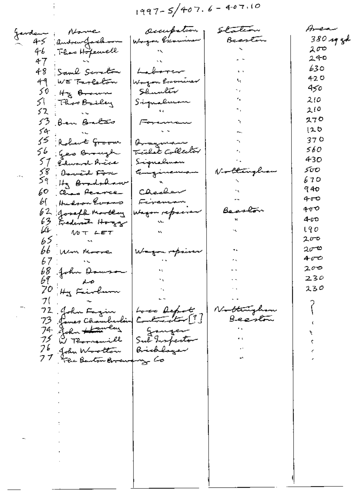$$
1997 - 5/407.6 - 407.10
$$

 $\vdots$ 

 $\overline{\phantom{a}}$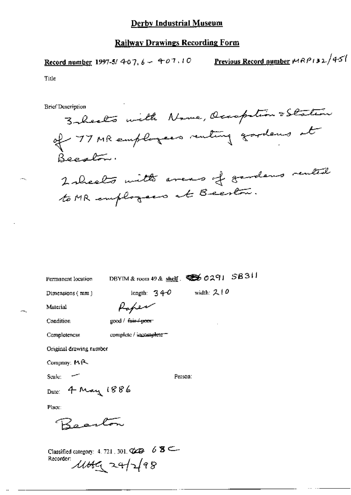Record number 1997-5/ 407,  $6 - 407.10$ 

Previous Record number 
$$
MRPI32/451
$$

Title

 $-$ 

**Brief Description** 

3- healto with Name, Occapition & Station of 77 MR employees renting gardens at Beeston. 2 sheets with averes of gavdens rented to MR employees at Beeston.

Permanent location

DBYIM & room 49 & shelf. 456 0291 58311

Dimensions (mm)

length:  $34-0$  width: 2.10

Material

| good / <del>fair / poor</del> |
|-------------------------------|

Rober

Condition Completencss

complete / incomplete =

Original drawing rumber

Company: MR

Scale:  $-$ 

Person:

Date: 4 May 1886

Place:

Rosaton

Classified category: 4, 721, 301,  $\bigcirc \bigcirc$  6  $\bigcirc$   $\bigcirc$ Recorder: 11649 24/2/98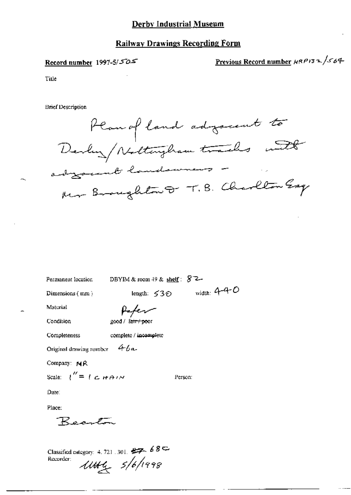### **Railway Drawings Recording Form**

### Record number 1997-5/505

# Previous Record number HRP132/564

Title

**Brief Description** 

Plan of land adjocent to adjournt landswears Mr Broughton D. T.B. Charlton Esq

Permanent location

DBYIM & room 49 & shelf:  $87-$ 

Person:

Dimensions (mm)

length:  $530$  width:  $4-4-0$ 

Material

Peter

complete / incomplete

Condition

Completeness

200d / fair / poor

Original drawing number  $4b$ a-

Company: NR

Scale:  $\binom{n}{k} = \binom{n}{k}$   $\forall k \in \mathbb{N}$ 

Date:

Place:

Becaton

Classified category: 4, 721, 301,  $87 - 68$ Recorder:  $1044 5/6/1998$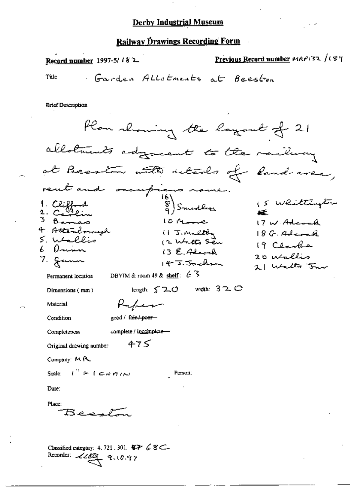#### Railway Drawings Recording Form

Previous Record number MAP132 /189 Record number 1997-5/ $182$ Garden Allotments at Beeston Title **Brief Description** Flow showing the layout of 21 allotments adjacent to the railway at Beaston with retails of Rand-aver, rent and occupiers nome<br>1. Clifford 16)<br>1. Clifford 18) Smedlers 1. Clifford<br>2. Carlin<br>3 Barres 15 Whittington æÉ. 10 Moore 17 W. Adamah 11 J. Maltey 4. Attenbornezh  $18G.$ Adenak 5. Wallis 12 Watto Seu 19 Clarks 6 Dainn  $13E.$  Alcock 20 Wallis 7. Jann  $147$  Jackson 21 Walts Jun DBYIM & room 49 & shelf:  $6\overline{3}$ Permanent location leagth:  $520$  width:  $320$ Dimensions (mm) Rufier Material good / fair / poer-Condition complete / incomplete -Completeness  $475$ Original drawing number Company: MR Scale:  $l'' = l \in H A \cup I$ Person: Date: Place:  $Beg P$ 

Classified category: 4, 721, 301,  $\blacklozenge \blacktriangleright \varnothing \blacktriangleright \varnothing$ Recorder: 22009, 9.10.97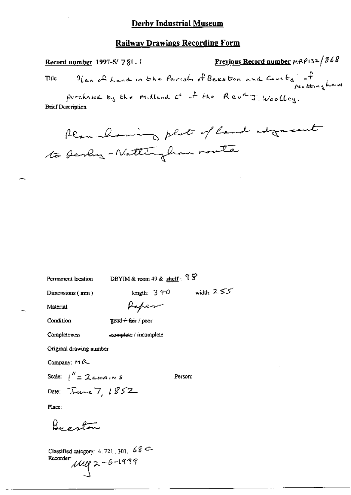### **Railway Drawings Recording Form**

Previous Record number MRP132/868 Record number 1997-5/781. Plan of Land in the Parish of Beeston and County of Title purchased by the Midland Co of the Rev<sup>d</sup> J. Woolley. **Brief Description** Rear alaming plat of land adgressed to Devly - Nattingham route

Permanent location

DBYIM & room 49 & shelf:  $98$ 

Dimensions (mm)

length:  $3 + 0$  width:  $2 \le 5$ 

Material

Paper

Condition

### **Rood ← fair** / poor

complete / incomplete Completeness

Original drawing number

Company: MR

Scale:  $\int^{\prime\prime} = 2eH + 2\sqrt{5}$ Date: June 7, 1852

Person:

Place:

Beeston

Classified category:  $4.721, 301, 68$  C-Recorder:  $11999$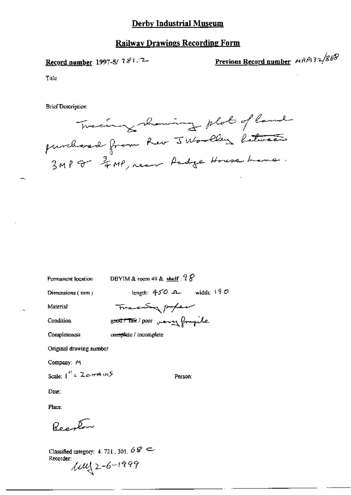### **Railway Drawings Recording Form**

Record number 1997-5/781.7-

Previous Record number HRP132/868

Title

щ,

**Brief Description** 



Permanent location

DBYIM & room 49 & shelf:  $78$ 

good / Tar / poor very frigile

Dimensions (mm)

length:  $450 \text{ } -$  width:  $190$ Tracky poper

Condition

Material

Completeness complete / incomplete

Original drawing number

Company: M

Scale:  $\int_0^R z^2 \cos \theta d\theta$ 

Person:

Date:

Place:

Reactor

Classified category: 4.721, 301,  $68 \approx$ Recorder:  $1002 - 6 - 1999$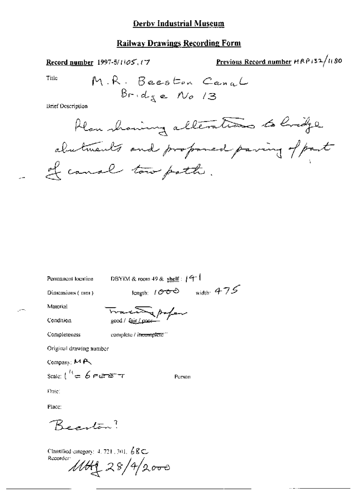### **Railway Drawings Recording Form**

Previous Record number HRP132/1180 Record number 1997-5/1105, 17 Title M.R. Beeston Canal  $Bridg$  e No 13 **Brief Description** Alon showing alterations to longe abutments and proponed paving of part of canal tow poth.

Permanent location

DBYIM & room 49 & shelf:  $49<sup>+1</sup>$ 

Dimensions (mm)

length:  $1000$  width:  $475$ 

Person

Trace of poper good / fair /

Condition

Material

complete / incomplete " Completeness

Original drawing number

Company: MA

Scale:  $1^{H} = 6$  FEET

Date:

Place:

Beauton?

Classified category:  $4, 721, 301, 68 \text{C}$ Recorder

 $1144228/42000$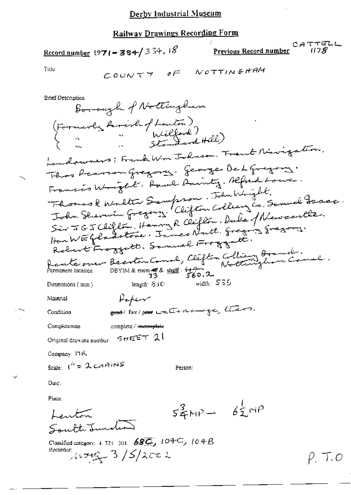$$
\underline{\text{Record number}} 1971 - 384 / 334.18
$$

CATTELL<br>Previous Record number (178

Title

**Brief Description** 

Borough of Nottingham (Formerly family of Lanton)<br>{ [ ] Nillford )<br>{ ] [ ] [ ] [ ] [ Standard Hill ) handowners; Frank Wm Johnson, Trank Newigation, This Reason Gregory. George De L Gregory. Francis Wright. Paul Sainty. Alfred Lowe. Thomas & Malter Sampson. Thursde.<br>John Shermin Gregory. Clifton Colleanz Co. Samuel Jacoc. Sir JGJCHlon, Henry R Clifton, Duke of Newcastle. Route over Beenton Connel, Clieften Collier Branch.<br>Permanent location DBYIM&room # & shell: 1460.2 width:  $555$ length:  $51C$ Dimensions (min) Poper Material soot l'air pour water dans je, lieu Condition Completeness complete / incomplete Original drawing eumber  $\sigma$ HEET 21 Company: ITR Scale:  $I^n = 2$  circln 1NS Person: Date: Place:  $54MP - 62MP$ Leuton South Tunction Classified category: 4, 721-301.  $68\overline{G}$ ,  $104C$ ,  $104B$ Recorder:  $7.749 - 3/5/2002$ 

P. T.O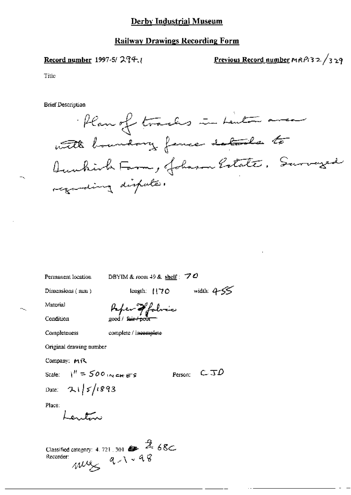#### **Railway Drawings Recording Form**

#### Record number 1997-5/ $274$ .

Previous Record number  $mRP/32/329$ 

Title

**Brief Description** 



Permanent location

DBYIM & room 49 & shelf:  $70$ 

Dimensions (mm)

length:  $1170$  width:  $455$ 

Material Condition

Afer of folice

Completeness

complete / incomplete

Original drawing number

Company: MR

Scale:  $1'' = 500$  in chers

Person:  $C$   $\Im$   $D$ 

Place:

Lendon

Date:  $21/5/1893$ 

Classified category: 4, 721, 301  $\bullet$   $\mathcal{A}$  68c.  $m/s$   $q \wedge \cdot 98$ Recorder: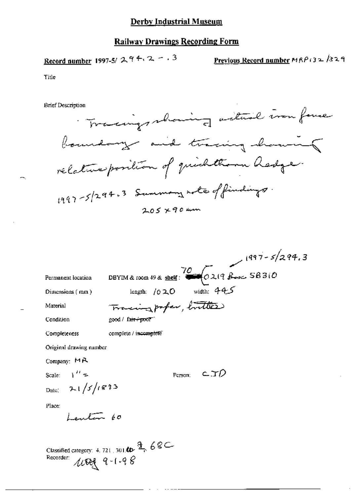Record number 1997-5/  $294.2 - .3$ 

Previous Record number MRP132/329

Title

**Brief Description** 



| Permanent location         | DBYIM & room 49 & shelf: $\frac{70}{22198}$ $\frac{1997 - 5}{299}$ , 3<br>length: $1020$ width: $44<$ |
|----------------------------|-------------------------------------------------------------------------------------------------------|
| Dimensions (mm)            |                                                                                                       |
| Material                   | Tracing profer, butter                                                                                |
| Condition                  | $good /$ farr-pool                                                                                    |
| Completeness               | complete / incomplete                                                                                 |
| Original drawing number    |                                                                                                       |
| Company: $M R$             |                                                                                                       |
| Scale: $\lambda'' =$       | C.TD<br>Person:                                                                                       |
| Date: $2\sqrt{5/6833}$     |                                                                                                       |
| Place:                     |                                                                                                       |
| 10                         |                                                                                                       |
|                            |                                                                                                       |
|                            | Classified category: 4, 721, 301.00 $\frac{a}{2}$ , 68C                                               |
| Recorder:<br>$1004$ 9-1-98 |                                                                                                       |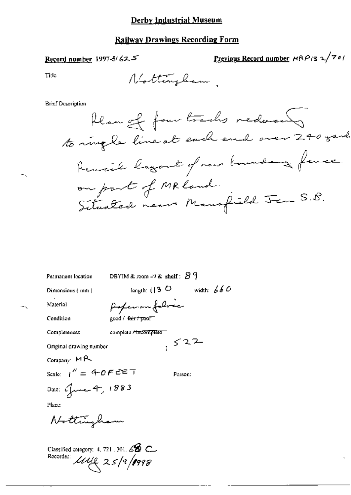# **Railway Drawings Recording Form**

# Record number 1997-5/625

Previous Record number  $\text{HRP}_{13} \sim \frac{1}{2}$ 

Title

 $\pm\zeta$ 

 $\overline{\phantom{a}}$ 

Nottingham,

**Brief Description** 

| Permanent location      | DBYIM & room $49$ & shelf: $89$              |              |
|-------------------------|----------------------------------------------|--------------|
| Dimensions ( mm )       | length: $(13 \circ \Box)$                    | width: $660$ |
| Material                | poper on folice                              |              |
| Condition               | good / <del>fair / poo</del> r <sup>--</sup> |              |
| Completeness            | complete / tucomplète                        |              |
| Original drawing number |                                              | 522          |
| $_{\rm Company}$ MR     |                                              |              |
| Scale: $1'' = 40$ FEET  |                                              | Person:      |
| Date: Gune 4, 1883      |                                              |              |
| Place:                  |                                              |              |
| Nottingham              |                                              |              |
|                         |                                              |              |

Classified category: 4, 721, 301, 68 C Recorder  $l \mathcal{U} \mathcal{U} \geq 25/9/1998$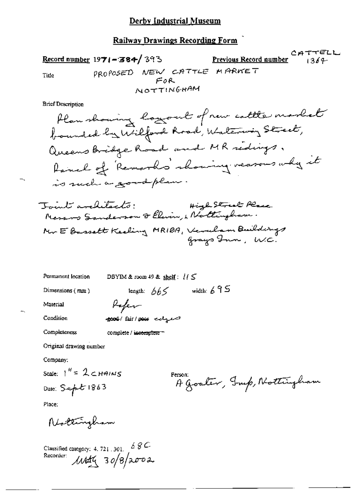CATTELL Previous Record number Record number 1971-384/393  $1369 -$ PROPOSED NEW CATTLE MARKET Title  $F$ OR NOTTINGHAM

**Brief Description** 

| Permanent location | DBYIM & room 49 & shelf: $1/5$ |              |  |
|--------------------|--------------------------------|--------------|--|
| Dimensions $(mn)$  | length: $665$                  | width: $695$ |  |
| Material           | Paper                          |              |  |
| Condition          | good fair poor engel           |              |  |
| Completeness       | complete / incomplete =        |              |  |

complete / incomplete =

Original drawing number

Company:

Scale:  $1'' = 2c$ HAINS

Date: Sept 1863

Person: A Goater, Jup, Nottingham

Place:

Nottingham

Classified category: 4.721.301. 68C.<br>Recorder:  $M4\frac{4}{3}$  30/8/2002.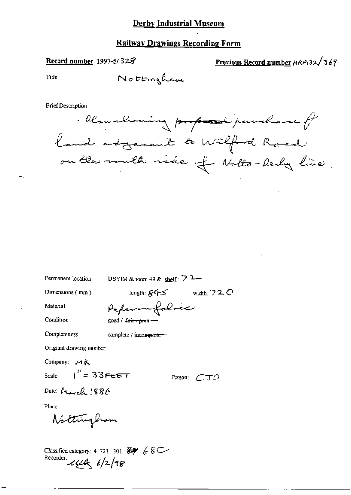### **Railway Drawings Recording Form**

#### Record number 1997-5/328

Previous Record number HRP132/369

Tide

Nottingham

**Brief Description** 

. Reamshowing proposed purchase of land adgreent to wilfed Road on the south side of Notto-besty line.

Permanent location

DBYIM & room 49 & shelf :  $72$ 

Dimensions  ${mn}$ 

length:  $845$  width:  $720$ 

Person:  $CTD$ 

Material

Condition

Paper on folice good / fair / poen-

Completeness

complete  $\ell$  incomplete.

Original drawing mumber

Company: MR

Scale:  $I'' = 33FEET$ 

Date: Morach 1886

Place:

Nottingbum

Classified category: 4.721.301.  $\overline{\mathscr{L}}$  68 C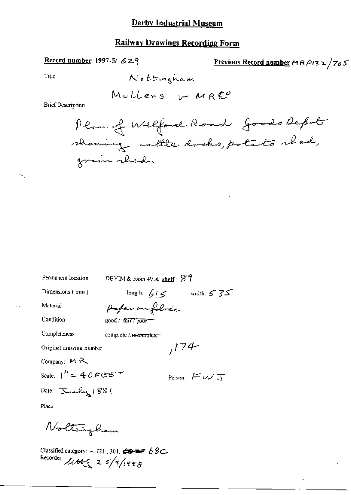## **Railway Drawings Recording Form**

### Record number 1997-5/ 629

Previous Record number 
$$
MRP_{13} \sim \sqrt{705}
$$

Title

**Brief Description** 

Permanent location

DBYIM & room 49 & shelf:  $\mathscr{G}$  ?

length:  $615$  width:  $535$ 

 $,174$ 

Dimensions (mm)

Material

Condition

good / fair7 poor-

Completeness

complete / incomplete

Company: MR

Scale:  $1'' = 40$  FEE  $7$ 

Date: July 1881

Person:  $FWJ$ 

Place:

Nolteingham

Classified category: 4.721, 301.  $\iff$  68C.<br>Recorder:  $\mathcal{L} \mathcal{L} \mathcal{L} \left( \frac{2}{3} \right)$  5/7/1998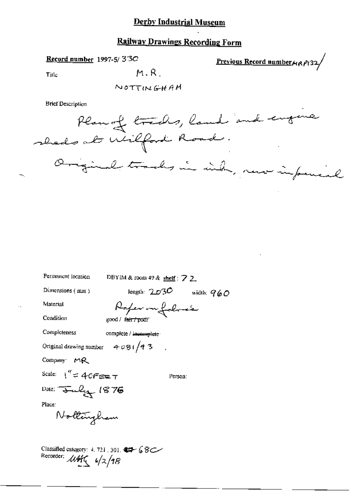### **Railway Drawings Recording Form**

Record number 1997-5/33C

Previous Record number $\mu$   $\rho$ 132/

Title

 $M, R$ .

NOTTINGHAM

**Brief Description** 



| Permanent location                                                                                              | DBYIM & room 49 & shelf : $\sqrt{2}$ 2. |              |
|-----------------------------------------------------------------------------------------------------------------|-----------------------------------------|--------------|
| Dimensions (mm)                                                                                                 | length: $2.6\%$                         | width: $960$ |
| Material                                                                                                        | Paper on folose                         |              |
| Condition                                                                                                       | good / f <del>air / poor</del>          |              |
| Completeness                                                                                                    | complete / incomplete                   |              |
| Original drawing number $4081/93$                                                                               |                                         |              |
| Company $M_{\rm R}$                                                                                             |                                         |              |
| Scale: $1'' = 40$ Fee $\tau$                                                                                    |                                         | Person:      |
| Date: July 1876                                                                                                 |                                         |              |
| Place:                                                                                                          |                                         |              |
| Nollingham                                                                                                      |                                         |              |
|                                                                                                                 |                                         |              |
| Classified category: 4, 721, 301, $\bigoplus$ 6 $\mathcal{B}$ C<br>Recorder: $\mathcal{U}/\mathcal{H}(-6/2/18)$ |                                         |              |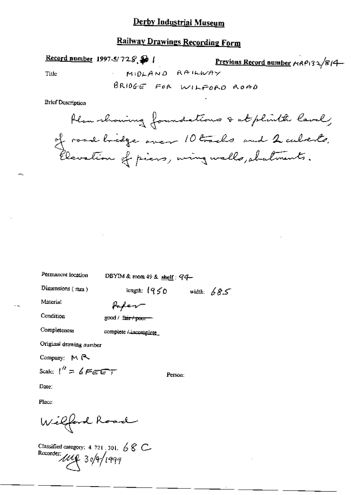# **Railway Drawings Recording Form**

MIDLAND RAILWAY

Record number 1997-5/728

Previous Record number 14P132/814

Title

BRIDGE FOR WILFORD ROAD

**Brief Description** 

Plan showing foundations & at plinth lavely of road bridge over 10 tracks and 2 cuberts.<br>Elevation of piers, wing walls, abalments.

Permanent location

DBYIM & room 49 & shelf: 94-

Dimensions (mm)

length:  $1950$  width:  $685$ 

Material

Condition

good / fair / poor

Completeness

complete Lincomplete

Poper

Original drawing number

Company: MR

Scale:  $\ell'' = 6$  FEET

Person:

Date:

Place:

Wilford Road

Classified category: 4, 721, 301,  $\sqrt{6}$  C Recorder: 1110 30/9/1999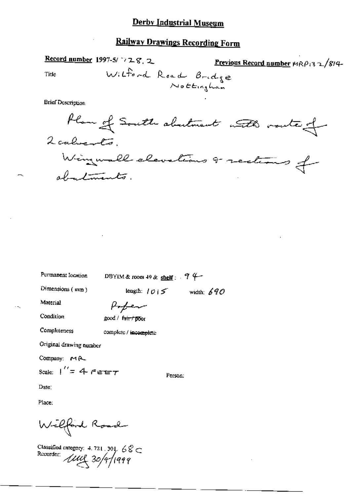Record number 1997-5/ $\rightarrow$  28, 2 Previous Record number MRP132/814-Withord Road Bridge Title  $N$ ottingham

**Brief Description** 

Permanent location

DBYIM & room 49 & shelf:  $94$ 

Dimensions (mm)

length:  $1015$  width: 690

Material

Condition

Poper good / fatt / poor

Completeness

complete / incomplete

Original drawing number

Company: MR

Scale:  $1'' = 4$  FEET

Person:

Date:

Place:

Wilford Road

Classified category: 4.721.301.  $68 \text{ C}$ <br>Recorder:  $\text{WW}$  30/9/1999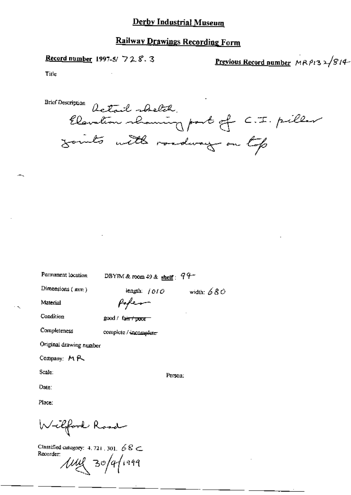### **Railway Drawings Recording Form**

Record number 1997-5/ 728.3

Previous Record number MRP132/814-

Title

**Brief Description** Rotail shelth Elevation shaming part of C.I. pillar Joints with roadway on top

Permanent location

DBYIM & room 49 & shelf:  $94-$ 

Dimensions  $(mm)$ 

length:  $/010$ 

width:  $680$ 

Person:

Material

Condition

Completeness

fofen

 $good /$  faint proof

complete / incomplete

Original drawing number

Company: MR

Scale:

Date:

Place:

Wilford Road

Classified category: 4, 721, 301,  $68 \subset$ Recorder: *Ju*y 30/9/1999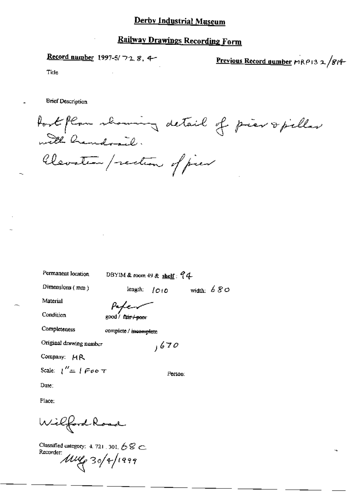Record number 1997-5/728.4-

Previous Record number MRP13 2 /814-

Title

**Brief Description** 

fort plan showing detail of pier opillar with handrail. Clevation / rection of pier

Permanent location

DBYIM & room 49 & shelf: 94

Dimensions (mm)

length:  $1010$  width:  $680$ 

Material

Condition

200d / fair <del>/ poo</del>r

Completeness

complete / incomplete

Original drawing number

Company: HR

Scale:  $1'' = 1$  Foo  $\tau$ 

Date:

Place:

Wilford Road

Classified category: 4, 721, 301,  $68 \text{ C}$ Recorder:  $\mu$ uy 30/4/1999

Person:

 $,670$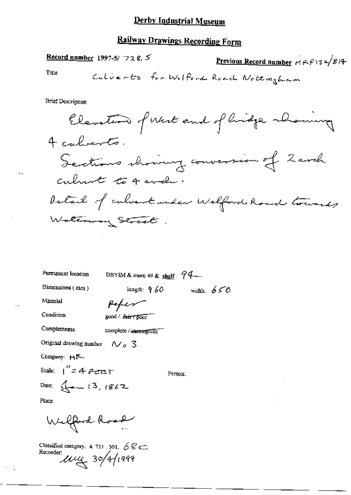# **Railway Drawings Recording Form**

Record number 1997-5/ $72$  8.5 Previous Record number  $\kappa$   $\beta$  32/814 Title Culverts for Wilford Road Nottingham **Brief Description** Elevation of West and of lidge abounce 4 calverts. Sections showing conversion of Zarch culment to 4 avel. Detail of calvert under Welford Road towards Walterway Street

Permanent location DBYIM & room 49 & shelf:  $94-$ Dimensions (mm) length:  $9.60$ width:  $650$ Material fefer Condition good / fair / poor Completeness complete / incomplete Original drawing number  $\sim$  3 Company: MK Scale:  $1'' = 4$  FEET Person: Date:  $\frac{1}{2}$  am 13, 1867

Place:

Welfard Road

Classified category: 4, 721, 301,  $\cancel{6}$   $\cancel{6}$   $\cancel{6}$ Recorder:  $\omega$ uug 30/4/1999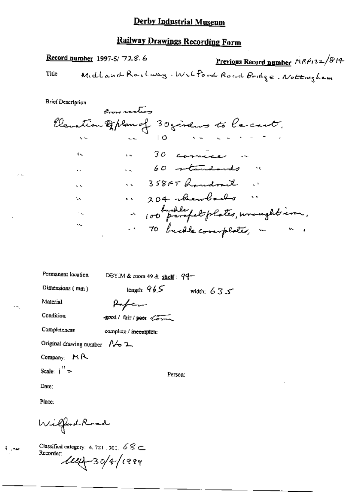# **Railway Drawings Recording Form**

Record number 1997-5/728.6 Previous Record number  $P(RP_132/814)$ Midland Railway. Wilford Road Bridge. Nottingham Title

**Brief Description** 

|                       | crow recling |                                                                                              |
|-----------------------|--------------|----------------------------------------------------------------------------------------------|
|                       |              | Clevation of Plan of 30 jindes to lacant.                                                    |
|                       |              |                                                                                              |
| $\mathfrak{c}_\infty$ |              | 16 30 cornice in                                                                             |
| ä.                    |              | 60 standards "                                                                               |
| $\sim$                |              | 1. 358FT handrail .                                                                          |
| x.                    |              | " 204 members"                                                                               |
| У.                    |              | ~ 100 parapel plates, wroughtime,                                                            |
| SS.                   |              | - 70 buchle coverplated, in<br>$\frac{1}{2} \frac{1}{2} \frac{1}{2} \frac{1}{2} \frac{1}{2}$ |

| Permanent location                         | DBYIM & room 49 & shelf: $94-$ |              |
|--------------------------------------------|--------------------------------|--------------|
| Dimensions (mm)                            | length: $965$                  | width: $635$ |
| Material                                   | Paper                          |              |
| Condition                                  | good/fair/peer torum           |              |
| Completeness                               | complete / incomplete          |              |
| Original drawing number $\mathcal{N}_p$ 2. |                                |              |
| Company: $M R$                             |                                |              |
| Scale: $\int_{0}^{t}$ =                    | Person:                        |              |

Date:

Place:

Wilford Road

Classified category: 4, 721, 301,  $68 \subset$ Recorder  $\ell$ eur 30/4/1999

سيرة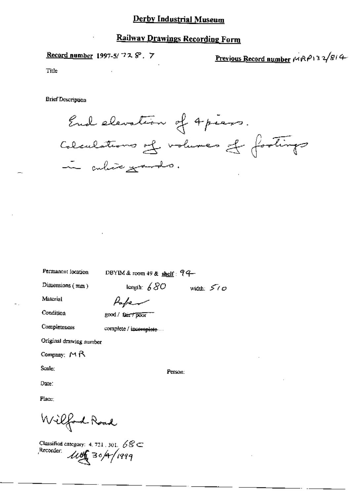## **Railway Drawings Recording Form**

Record number 1997-5/728.7

Previous Record number  $\mu \otimes \rho_1$ 3  $\sqrt{g/4}$ 

Title

**Brief Description** 

End elevation of 4 pieces. Colculations of volumes of footings in culive grands.

Permanent location

DBYIM & room 49 & shelf: 94

Dimensions (mm)

length:  $680$  width:  $500$ 

Material

Paper

Condition

Completeness

good / fair / poor ""

complete / incomplete...

Original drawing number

Company:  $M \beta$ 

Scale:

Person:

Date:

Place:

Wilford Road

Classified category: 4, 721, 301,  $68 \text{C}$ Recorder *Lutter* 30/4/1999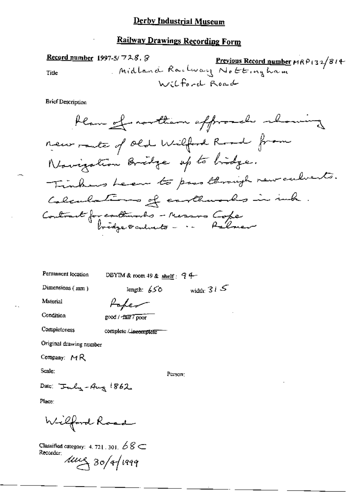# **Railway Drawings Recording Form**

Record number 1997-5/728.8 5/728.8 Previous Record number MRP132/814 Title Wilford Road

**Brief Description** 

Permanent location

DBYIM & room 49 & shelf:  $94-$ 

length:  $650$ 

Dimensions (nm)

width:  $31S$ 

Material

Condition

good / fair 7 poor

Poke

Completeness

complete / ineomplete

Original drawing number

Company:  $MR$ 

Scale:

Person:

Date: Inly-Aug 1862

Place:

Wilford Road

Classified category: 4, 721, 301,  $68 \subset$ Recorder:  $100830/4/1999$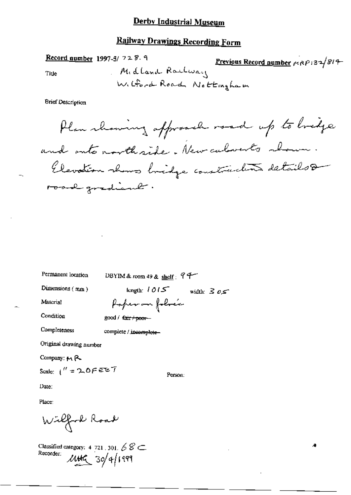# **Railway Drawings Recording Form**

Record number 1997-5/ 728.9 Previous Record number 1989-132/814 Midland Raulway Title W. Gord Road Nottingham

**Brief Description** 

Permanent location

DBYIM & room 49 & shelf:  $94$ 

Dimensions (mm)

length:  $1015$  width:  $305$ 

Person:

Æ

Material

Poper on folice

Condition

Completeness

good / tair / poor-

complete / incomplete-

Original drawing number

Company: MR

Scale:  $1'' = 200$  F EE T

Date:

Place:

Wilford Road

Classified category: 4 721 301  $68 \subset$ Recorder:  $444$  30/4/1999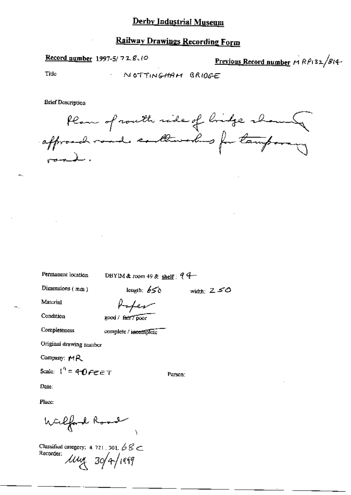Record number 1997-5/728.10

Previous Record number MRP132/814-

Title

NOTTINGHAM BRIDGE

**Brief Description** 

Plan of routh ride of bridge shown affranchement enthusited for tamporary

Permanent location

DBYIM & room 49 & shelf:  $94-$ 

Dimensions (mm)

length:  $656$ width:  $250$ 

Material

Condition

Robert good / fair 7 poor

Completeness

complete / incomplete

Original drawing number

Company: MR

Scale:  $1^4$  = 40 FEET

Person:

Date:

Place:

Wilfard Rood

Classified category: 4, 721, 301,  $68<$ Recorder:  $\mu_{\nu}$  30/4/1999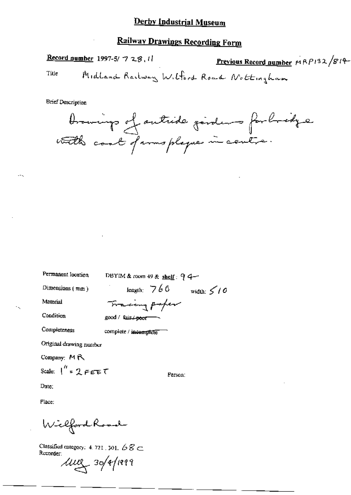# **Railway Drawings Recording Form**

Record number 1997-5/ 7 28, 11 Previous Record number MRP132/814-Midland Railway Wilford Road Nottingham Title

**Brief Description** 



Permanent location

Dimensions  $(mn)$ 

Material

Condition

Completeness

complete / incomplete

good / fair <del>/ peor =</del>

DBYIM & room 49 & shelf:  $94-$ 

Tracing paper

Original drawing number

Company: MR

Scale:  $1''$  = 2 FEET

Person:

length:  $766$  width:  $5/6$ 

Date:

Place:

Wilford Road

Classified category: 4, 721, 301,  $68 \subset$ Rucorder:

 $\mu$ uu 30/4/1999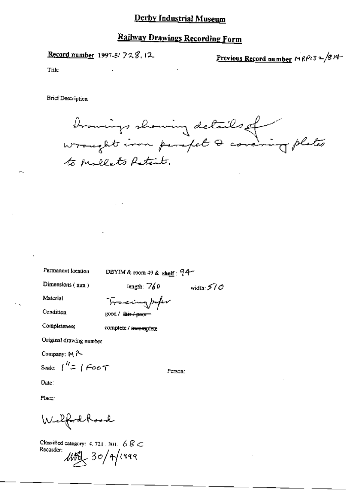## **Railway Drawings Recording Form**

Record number 1997-5/728.12

<u>Previous Record number</u>  $MRP$ 13 =  $/8$ 14

Title

**Brief Description** 

browings showing details of to Mollats Ratent.

width:  $570$ 

Permanent location

DBYIM & room 49 & shelf: 94-

Dimensions (mm)

length:  $760$ 

Material

Tracingpoper good / fair / poor

Condition Completeness

complete / incomplete

Original drawing number

Company: M A

Scale:  $1'' = 1$  Foot

Date:

Place:

Welford Road

Classified category: 4, 721, 301,  $68C$ Recorder:  $\text{MRL}$  30/4/1999

Person: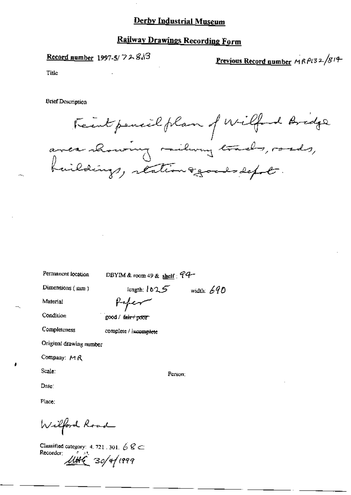# **Railway Drawings Recording Form**

Record number 1997-5/ $728$ 

Previous Record number MRP132/814

Title

**Brief Description** 

Feintpencil plan of Wilford Bridge<br>avec chowing vailury trads, roads,<br>buildings, reation agoods defot.

Permanent location

DBYIM & room 49 & shelf :  $94-$ 

Dimensions (mm)

length;  $1025$  width:  $690$ 

Person:

Material

Condition

Completeness

good / <del>fair / poor</del>

complete / incomplete

Original drawing number

Company: MR

Scale:

Date:

Place:

Wilford Road

Classified category: 4, 721, 301,  $68 \text{C}$ Recorder:  $1006$  30/4/1999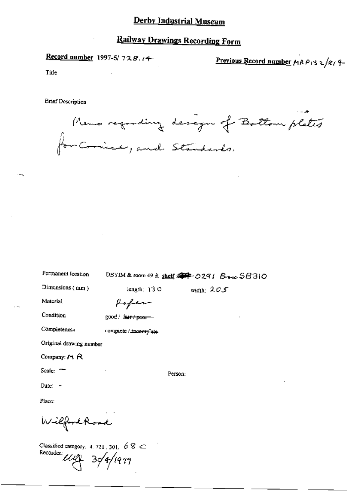# **Railway Drawings Recording Form**

Record number 1997-5/728.14

Previous Record number  $A \wedge B$  (3 2/81 9-

Title

**Brief Description** 



| Permanent location                                                         | DBYIM&room 49 & shelf 金平 0291 Brone SB310 |              |  |  |
|----------------------------------------------------------------------------|-------------------------------------------|--------------|--|--|
| Dimensions $(mn)$                                                          | length: $130$                             | width: $205$ |  |  |
| Material                                                                   | forfer                                    |              |  |  |
| Condition                                                                  | good / <del>fair / poor</del>             |              |  |  |
| Completeness                                                               | complete / incomplete.                    |              |  |  |
| Original drawing number                                                    |                                           |              |  |  |
| Company: $M$ R                                                             |                                           |              |  |  |
| Scale: $-$                                                                 |                                           | Person:      |  |  |
| Date: -                                                                    |                                           |              |  |  |
| Place:                                                                     |                                           |              |  |  |
| Wilford Road                                                               |                                           |              |  |  |
| Classified category: 4, 721, 301, $68 \text{ }$<br>Recorder: USA 30/4/1999 |                                           |              |  |  |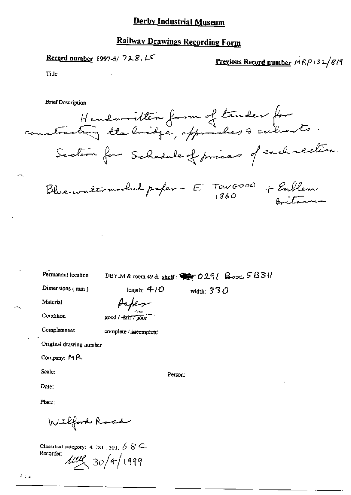# **Railway Drawings Recording Form**

Record number 1997-5/728.15

Previous Record number  $MRP + 32/8/4$ 

Title

**Brief Description** 

Handwritten form of tender for Section for Schedule of prices of each rection. Blue watermorbed paper - E TOWGOOD + Emblem a terri

Permanent location

DBYIM & room 49 & shelf: @ 0291 Box 5B311

Dimensions (mm)

width:  $330$ 

Material

Paper  $200d / -6d$ 

Condition Completeness

complete / incomplete

length:  $410$ 

Original drawing number

Company: MR

Scale:

Person:

Date:

Place:

Wilford Road

Classified category: 4, 721, 301,  $68 \subseteq$ Recorder:  $1000 (30)$  4/1999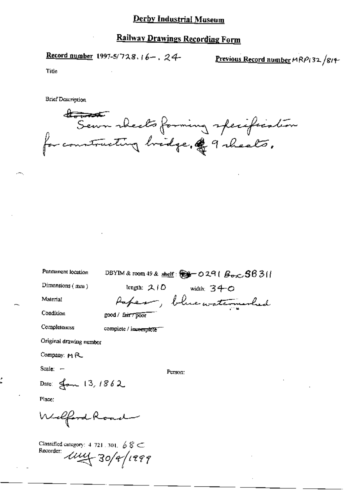# **Railway Drawings Recording Form**

Record number 1997-5/728.16-, 24-

Previous Record number MRP132/814-

Title

**Brief Description** 

Semm wheelts forming specification for constructing bridge, & 9 sheals.

Permanent location

DBYIM & room 49 & shelf:  $\mathcal{L}$  = 0291  $\beta_{\text{exc}}$  5631

Dimensions (mm)

length:  $210$  width:  $340$ Paper, blue waterwarded

Condition

Material

good / fair / poor

Completeness

complete / incomplete

Original drawing number

Company:  $M$  $R$ 

Scale:  $-$ 

Person:

Date: Jan 13, 1862

Place:

Welfard Road

Classified category:  $4$  721, 301,  $6$   $8 \subset$ Recorder: 1114-30/9/1999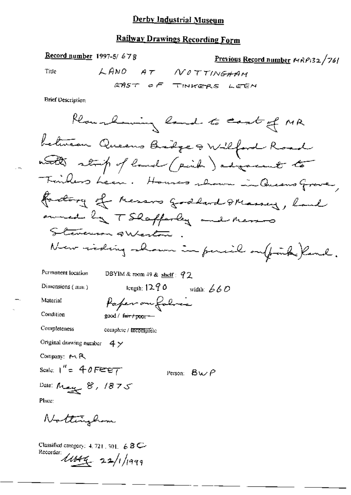# Railway Drawings Recording Form

Previous Record number 
$$
MRP/32/76
$$

Title

**Brief Description** 

Record number 1997-5/678

Condition

Completeness

complete / incompléte

Original drawing number  $4 \times$ 

Company: MR

Scale:  $1'' = 40FET$ Person:  $BwP$ 

Date: May 8, 1875

 $\mathsf{Place}_\mathbb{C}$ 

Nottinghom

Classified category:  $4, 721, 301, 68$  C-Recorder  $\mu$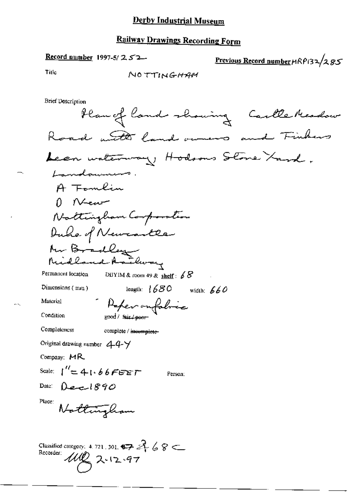# **Railway Drawings Recording Form**

Record number 1997-5/ $252$ 

Previous Record number HRP132/285

Title

NOTTINGHAM

**Brief Description** 

Plan of land showing Carlle Meadow Road with land owners and Finhers Lean waterway, Hodsons Stone Yard, Landowns. A Fomlin  $0$  New Nattingham Composition Duke of Newcastle Mr Bradley<br>Midland Kathway Permanent location DBYIM & room 49 & shelf:  $68$ leagth:  $1680$  width:  $660$ Dimensions (mm) Peper outobric Material Condition 200d / fair Lager Completeness complete / incomplete Original drawing number  $44+$ Company:  $MR$ Scale:  $1'' = 41.66$ FEET Person: Date: Dec  $890$ Place: Nottingham Classified category: 4, 721, 301,  $\bigoplus$   $\mathcal{A}$   $\mathcal{A} \otimes \mathbb{C}$ Recorder:  $11122 - 97$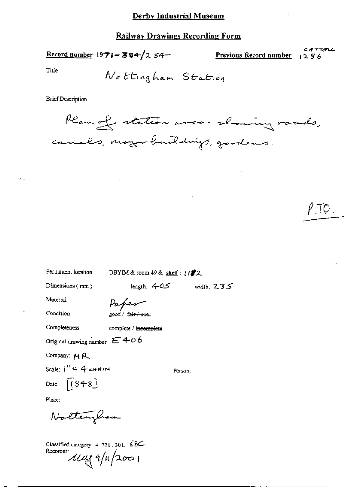Record number  $1971 - 384/254$ 

Previous Record number

CATTELL  $1286$ 

P.TO.

Title

Nottingham Station

**Brief Description** 



Permanent location

DBYIM & room  $49$  & shelf:  $1/22$ 

Dimensions (mm)

length:  $405$  width:  $235$ Paper

Condition

Material

good / fair / poor

complete / incomplete

Original drawing number  $E + o 6$ 

Company: MR

Completeness

Scale:  $I'' = 4$  chairs Date:  $(848)$ 

Place:

Nottengham

Classified category: 4, 721, 301, 68C  $\frac{R}{2000}$   $\frac{1}{4}$ 

Person: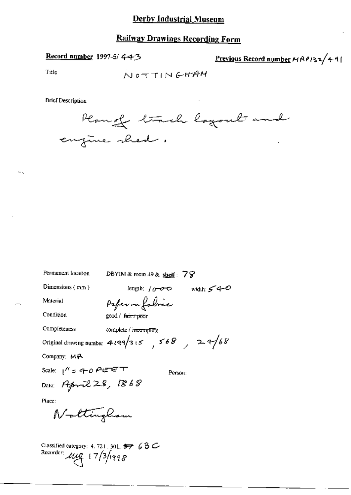### **Railway Drawings Recording Form**

#### Record number 1997-5/4-4-3

Previous Record number MRP132/491

Title

 $-$ .

**Brief Description** 



Permanent location

DBYIM & room 49 & shelf:  $79$ 

Person:

Dimensions (mm)

length:  $1000$  width:  $540$ Paper on folice

good / fairy pror

Condition

Material

Completeness complete / incomplete

Original drawing number 4199/315, 568, 24/68

Company: MR

Scale:  $1^{\prime\prime}$  = 40 FEET Date: April 28, 1868

Place:

Nottinghow

Classified category: 4, 721, 301, 57 6 8 C-Recorder:  $\mu_{4} = 17/3/1998$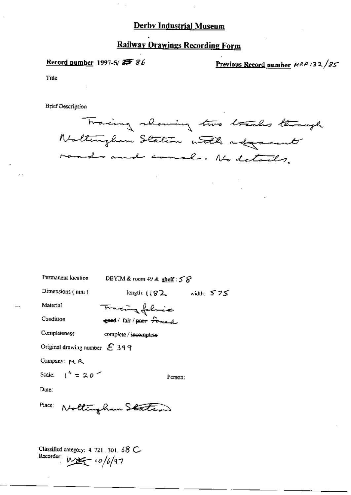# **Railway Drawings Recording Form**

### Record number 1997-5/85 86

Previous Record number MRP 132/85

Title

**Brief Description** 

Permanent location

Tracing showing two tracks through Noltingham Station with adjacent roads and courl. No details.

| Permanent location              | DBYIM & room 49 & shelf: $58$                                          |  |  |
|---------------------------------|------------------------------------------------------------------------|--|--|
| Dimensions $(mn)$               | $length: \begin{pmatrix} 82 & \text{width} \end{pmatrix}$ width: $575$ |  |  |
| Material                        | Tracing folice                                                         |  |  |
| Condition                       | good/fair/poor forced                                                  |  |  |
| Completeness                    | compicte / incomplete                                                  |  |  |
| Original drawing number $E$ 399 |                                                                        |  |  |
| Company: M. R.                  |                                                                        |  |  |
| Scale: $1^4 = 20$               | Person:                                                                |  |  |
| $_{\text{Date}}$                |                                                                        |  |  |
| Place:                          | Nottingham Stateon                                                     |  |  |
|                                 |                                                                        |  |  |
|                                 |                                                                        |  |  |

Classified category: 4, 721, 301, 68 C-Recorder:  $M_{\text{H}} = 10/6/97$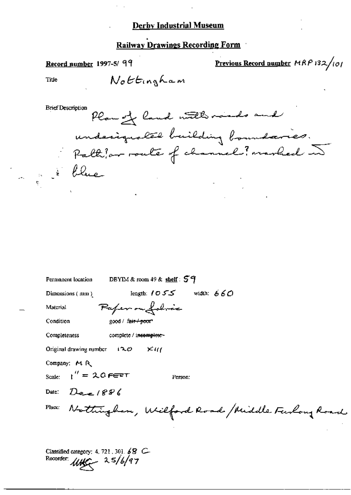### Railway Drawings Recording Form

### Record number 1997-5/99

Previous Record number MRP 132/101

Title

Nottingham

**Brief Description** 

Plan of land with roads and underignated building boundaries. Paltipor route of channel? marked ~ Le 1 blue

| Permanent location                        | DEYIM & room 49 & shelf: $59$                  |
|-------------------------------------------|------------------------------------------------|
| Dimensions (mm)                           | length: $1055$ width: $660$                    |
| Material                                  | Paper ou folice                                |
| Condition                                 | good / fair / poor                             |
| Completeness                              | complete / incomplete-                         |
| Original drawing number $120$             | $\times$ $\alpha$                              |
| Company: MR                               |                                                |
| Scale: $1'' = 2.0$ FERT                   | Person:                                        |
| Date: $D_{\mathbf{e}} = 1896$             |                                                |
| Place:                                    | Nothingham, Wilford Road / Middle Funlong Road |
| Classified category: 4, 721, 301, $68$ C- |                                                |
| Recorder $\mu$                            |                                                |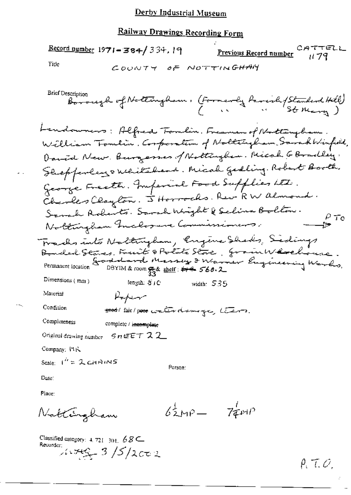# Railway Drawings Recording Form

Record number  $1971 - 384 / 334.19$ CATTELL Previous Record number il 79. Title COUNTY OF NOTTINGHAM

Date:

Place:

 $62MP - 74MP$ Nattingham

Classified category: 4.721 301. 68 C

 $\rho_i$  T.O.